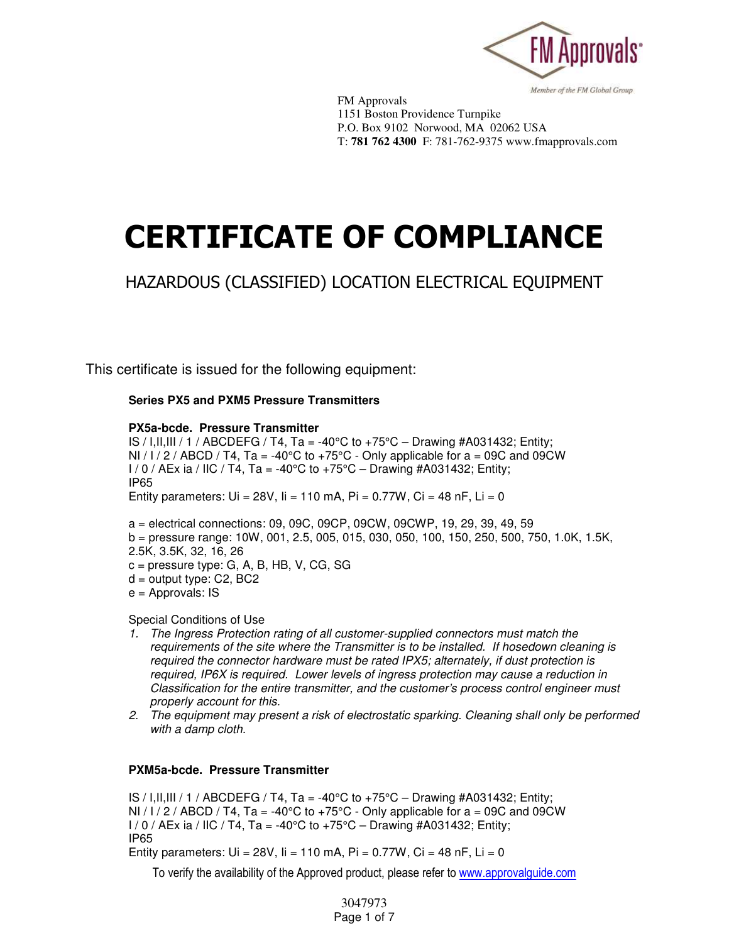

 FM Approvals 1151 Boston Providence Turnpike P.O. Box 9102 Norwood, MA 02062 USA T: 781 762 4300 F: 781-762-9375 www.fmapprovals.com

# **CERTIFICATE OF COMPLIANCE**

# HAZARDOUS (CLASSIFIED) LOCATION ELECTRICAL EQUIPMENT

This certificate is issued for the following equipment:

**Series PX5 and PXM5 Pressure Transmitters** 

#### **PX5a-bcde. Pressure Transmitter**

IS / I,II,III / 1 / ABCDEFG / T4, Ta = -40°C to +75°C – Drawing #A031432; Entity; NI /  $1/2$  / ABCD / T4, Ta = -40°C to +75°C - Only applicable for a = 09C and 09CW  $1/0$  / AEx ia / IIC / T4, Ta = -40°C to +75°C – Drawing #A031432; Entity; IP65 Entity parameters:  $Ui = 28V$ ,  $I = 110$  mA,  $Pi = 0.77W$ ,  $Ci = 48$  nF,  $Li = 0$ 

a = electrical connections: 09, 09C, 09CP, 09CW, 09CWP, 19, 29, 39, 49, 59 b = pressure range: 10W, 001, 2.5, 005, 015, 030, 050, 100, 150, 250, 500, 750, 1.0K, 1.5K, 2.5K, 3.5K, 32, 16, 26  $c =$  pressure type: G, A, B, HB, V, CG, SG d = output type: C2, BC2

 $e =$  Approvals: IS

Special Conditions of Use

- *1. The Ingress Protection rating of all customer-supplied connectors must match the requirements of the site where the Transmitter is to be installed. If hosedown cleaning is required the connector hardware must be rated IPX5; alternately, if dust protection is required, IP6X is required. Lower levels of ingress protection may cause a reduction in Classification for the entire transmitter, and the customer's process control engineer must properly account for this.*
- *2. The equipment may present a risk of electrostatic sparking. Cleaning shall only be performed with a damp cloth.*

# **PXM5a-bcde. Pressure Transmitter**

IS / I,II,III / 1 / ABCDEFG / T4, Ta = -40 $\degree$ C to +75 $\degree$ C – Drawing #A031432; Entity; NI / I / 2 / ABCD / T4, Ta = -40°C to +75°C - Only applicable for a = 09C and 09CW  $1/0$  / AEx ia / IIC / T4, Ta = -40°C to +75°C – Drawing #A031432; Entity; IP65 Entity parameters:  $Ui = 28V$ ,  $I = 110$  mA,  $Pi = 0.77W$ ,  $Ci = 48$  nF,  $Li = 0$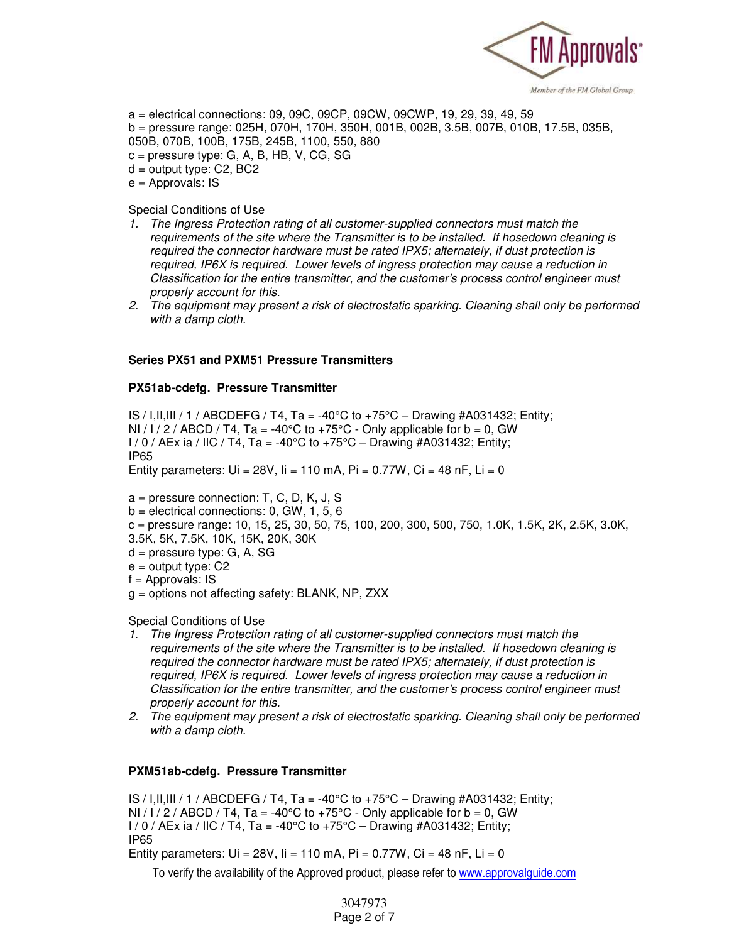

a = electrical connections: 09, 09C, 09CP, 09CW, 09CWP, 19, 29, 39, 49, 59 b = pressure range: 025H, 070H, 170H, 350H, 001B, 002B, 3.5B, 007B, 010B, 17.5B, 035B, 050B, 070B, 100B, 175B, 245B, 1100, 550, 880

- c = pressure type: G, A, B, HB, V, CG, SG  $d =$  output type: C2, BC2
- $e =$  Approvals: IS

Special Conditions of Use

- *1. The Ingress Protection rating of all customer-supplied connectors must match the requirements of the site where the Transmitter is to be installed. If hosedown cleaning is required the connector hardware must be rated IPX5; alternately, if dust protection is required, IP6X is required. Lower levels of ingress protection may cause a reduction in Classification for the entire transmitter, and the customer's process control engineer must properly account for this.*
- *2. The equipment may present a risk of electrostatic sparking. Cleaning shall only be performed with a damp cloth.*

#### **Series PX51 and PXM51 Pressure Transmitters**

#### **PX51ab-cdefg. Pressure Transmitter**

IS / I,II,III / 1 / ABCDEFG / T4, Ta = -40°C to +75°C – Drawing #A031432; Entity; NI/ $1/2$ /ABCD/T4, Ta = -40°C to +75°C - Only applicable for b = 0, GW  $I / 0 / AEx$  ia / IIC / T4, Ta = -40°C to +75°C – Drawing #A031432; Entity; IP65

Entity parameters:  $Ui = 28V$ ,  $I = 110$  mA,  $Pi = 0.77W$ ,  $Ci = 48$  nF,  $Li = 0$ 

- a = pressure connection: T, C, D, K, J, S
- $b =$  electrical connections: 0, GW, 1, 5, 6
- $c =$  pressure range: 10, 15, 25, 30, 50, 75, 100, 200, 300, 500, 750, 1.0K, 1.5K, 2K, 2.5K, 3.0K, 3.5K, 5K, 7.5K, 10K, 15K, 20K, 30K
- d = pressure type: G, A, SG
- $e =$  output type:  $C2$
- $f =$  Approvals: IS
- g = options not affecting safety: BLANK, NP, ZXX

Special Conditions of Use

- *1. The Ingress Protection rating of all customer-supplied connectors must match the requirements of the site where the Transmitter is to be installed. If hosedown cleaning is required the connector hardware must be rated IPX5; alternately, if dust protection is required, IP6X is required. Lower levels of ingress protection may cause a reduction in Classification for the entire transmitter, and the customer's process control engineer must properly account for this.*
- *2. The equipment may present a risk of electrostatic sparking. Cleaning shall only be performed with a damp cloth.*

# **PXM51ab-cdefg. Pressure Transmitter**

IS / I,II,III / 1 / ABCDEFG / T4, Ta = -40°C to +75°C – Drawing #A031432; Entity; NI/I/2/ABCD/T4, Ta = -40°C to +75°C - Only applicable for  $b = 0$ , GW  $I / 0 / AEx$  ia / IIC / T4, Ta = -40°C to +75°C – Drawing #A031432; Entity; IP65 Entity parameters:  $Ui = 28V$ ,  $I = 110$  mA,  $Pi = 0.77W$ ,  $Ci = 48$  nF,  $Li = 0$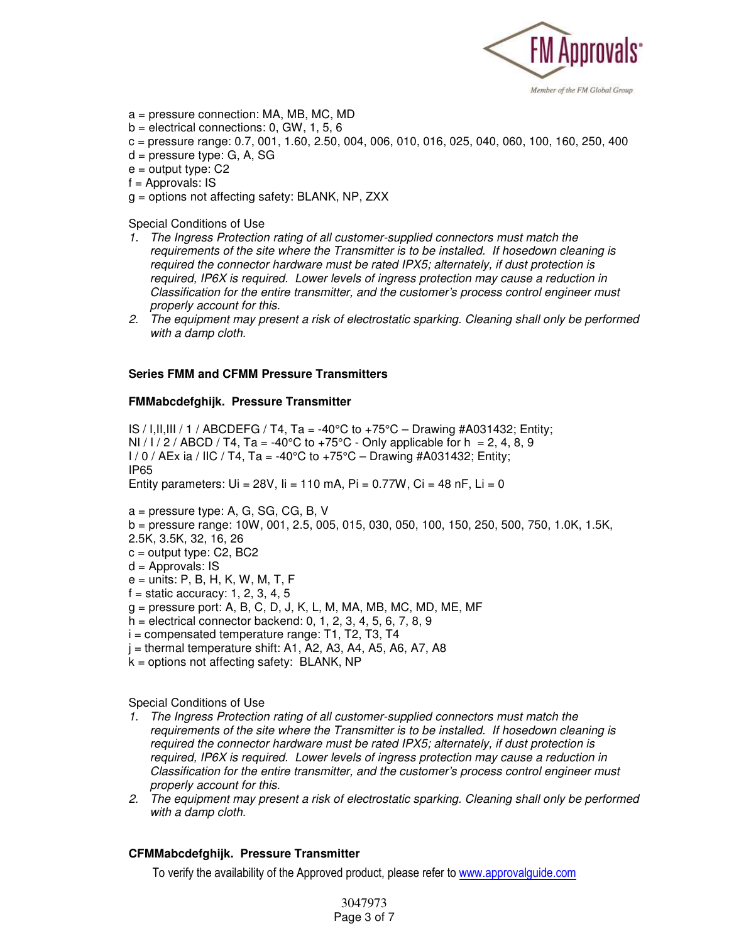

- a = pressure connection: MA, MB, MC, MD
- $b =$  electrical connections: 0, GW, 1, 5, 6
- c = pressure range: 0.7, 001, 1.60, 2.50, 004, 006, 010, 016, 025, 040, 060, 100, 160, 250, 400
- d = pressure type: G, A, SG
- $e =$  output type:  $C2$
- $f =$  Approvals: IS
- g = options not affecting safety: BLANK, NP, ZXX

Special Conditions of Use

- *1. The Ingress Protection rating of all customer-supplied connectors must match the requirements of the site where the Transmitter is to be installed. If hosedown cleaning is required the connector hardware must be rated IPX5; alternately, if dust protection is required, IP6X is required. Lower levels of ingress protection may cause a reduction in Classification for the entire transmitter, and the customer's process control engineer must properly account for this.*
- *2. The equipment may present a risk of electrostatic sparking. Cleaning shall only be performed with a damp cloth.*

#### **Series FMM and CFMM Pressure Transmitters**

#### **FMMabcdefghijk. Pressure Transmitter**

IS / I,II,III / 1 / ABCDEFG / T4, Ta = -40 $\degree$ C to +75 $\degree$ C – Drawing #A031432; Entity; NI / I / 2 / ABCD / T4, Ta = -40°C to +75°C - Only applicable for h = 2, 4, 8, 9  $1/0$  / AEx ia / IIC / T4, Ta = -40°C to +75°C – Drawing #A031432; Entity; IP65 Entity parameters:  $Ui = 28V$ ,  $I = 110$  mA,  $Pi = 0.77W$ ,  $Ci = 48$  nF,  $Li = 0$ 

- a = pressure type: A, G, SG, CG, B, V
- b = pressure range: 10W, 001, 2.5, 005, 015, 030, 050, 100, 150, 250, 500, 750, 1.0K, 1.5K,
- 2.5K, 3.5K, 32, 16, 26
- $c =$  output type:  $C2$ ,  $BC2$
- $d =$  Approvals: IS
- e = units: P, B, H, K, W, M, T, F
- $f =$  static accuracy: 1, 2, 3, 4, 5
- g = pressure port: A, B, C, D, J, K, L, M, MA, MB, MC, MD, ME, MF
- $h =$  electrical connector backend: 0, 1, 2, 3, 4, 5, 6, 7, 8, 9
- $i =$  compensated temperature range: T1, T2, T3, T4
- $j =$  thermal temperature shift: A1, A2, A3, A4, A5, A6, A7, A8
- $k =$  options not affecting safety: BLANK, NP

Special Conditions of Use

- *1. The Ingress Protection rating of all customer-supplied connectors must match the requirements of the site where the Transmitter is to be installed. If hosedown cleaning is required the connector hardware must be rated IPX5; alternately, if dust protection is required, IP6X is required. Lower levels of ingress protection may cause a reduction in Classification for the entire transmitter, and the customer's process control engineer must properly account for this.*
- *2. The equipment may present a risk of electrostatic sparking. Cleaning shall only be performed with a damp cloth.*

#### **CFMMabcdefghijk. Pressure Transmitter**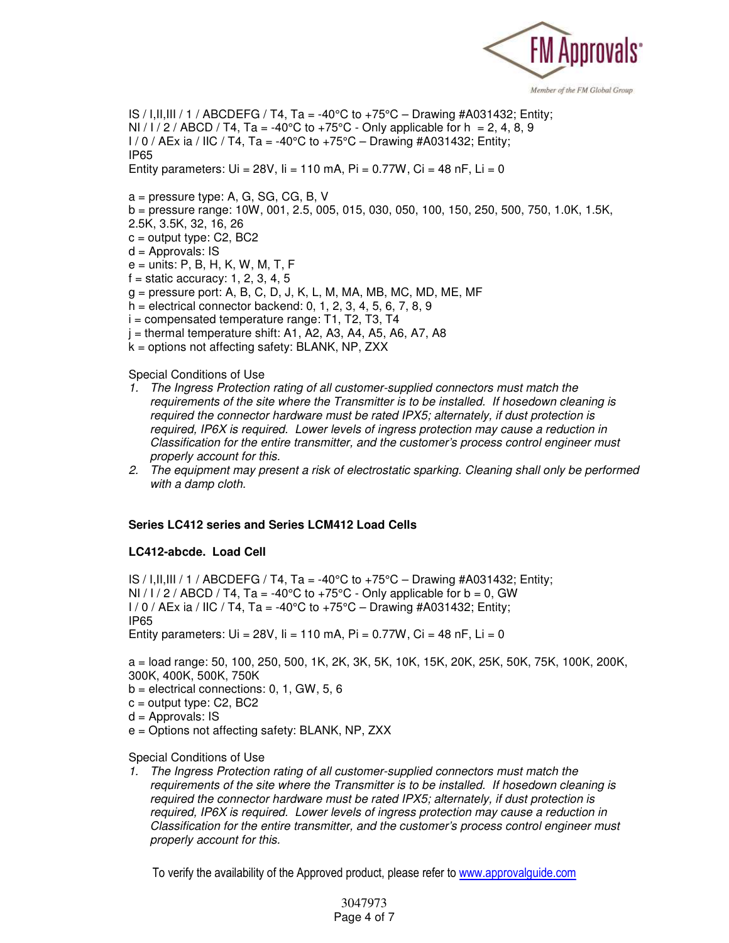

IS / I, II, III / 1 / ABCDEFG / T4, Ta = -40°C to +75°C – Drawing #A031432; Entity; NI /  $1/2$  / ABCD / T4, Ta = -40°C to +75°C - Only applicable for h = 2, 4, 8, 9  $1/0$  / AEx ia / IIC / T4, Ta = -40°C to  $+75$ °C – Drawing #A031432; Entity; IP65 Entity parameters:  $Ui = 28V$ ,  $I = 110$  mA,  $Pi = 0.77W$ ,  $Ci = 48$  nF,  $Li = 0$ 

a = pressure type: A, G, SG, CG, B, V

- b = pressure range: 10W, 001, 2.5, 005, 015, 030, 050, 100, 150, 250, 500, 750, 1.0K, 1.5K,
- 2.5K, 3.5K, 32, 16, 26
- $c =$  output type: C2, BC2
- d = Approvals: IS
- e = units: P, B, H, K, W, M, T, F
- $f =$  static accuracy: 1, 2, 3, 4, 5
- $g =$  pressure port: A, B, C, D, J, K, L, M, MA, MB, MC, MD, ME, MF
- h = electrical connector backend: 0, 1, 2, 3, 4, 5, 6, 7, 8, 9
- $i =$  compensated temperature range: T1, T2, T3, T4
- $j =$  thermal temperature shift: A1, A2, A3, A4, A5, A6, A7, A8
- k = options not affecting safety: BLANK, NP, ZXX

Special Conditions of Use

- *1. The Ingress Protection rating of all customer-supplied connectors must match the requirements of the site where the Transmitter is to be installed. If hosedown cleaning is required the connector hardware must be rated IPX5; alternately, if dust protection is required, IP6X is required. Lower levels of ingress protection may cause a reduction in Classification for the entire transmitter, and the customer's process control engineer must properly account for this.*
- *2. The equipment may present a risk of electrostatic sparking. Cleaning shall only be performed with a damp cloth.*

#### **Series LC412 series and Series LCM412 Load Cells**

#### **LC412-abcde. Load Cell**

IS / I,II,III / 1 / ABCDEFG / T4, Ta = -40 $\degree$ C to +75 $\degree$ C – Drawing #A031432; Entity; NI / I / 2 / ABCD / T4, Ta = -40 $\degree$ C to +75 $\degree$ C - Only applicable for b = 0, GW  $I / 0 / AEx$  ia / IIC / T4, Ta = -40°C to +75°C – Drawing #A031432; Entity; IP65

Entity parameters:  $Ui = 28V$ ,  $I = 110$  mA,  $Pi = 0.77W$ ,  $Ci = 48$  nF,  $Li = 0$ 

a = load range: 50, 100, 250, 500, 1K, 2K, 3K, 5K, 10K, 15K, 20K, 25K, 50K, 75K, 100K, 200K, 300K, 400K, 500K, 750K

 $b =$  electrical connections: 0, 1, GW, 5, 6

- $c =$  output type:  $C2$ ,  $BC2$
- $d =$  Approvals: IS
- e = Options not affecting safety: BLANK, NP, ZXX

#### Special Conditions of Use

*1. The Ingress Protection rating of all customer-supplied connectors must match the requirements of the site where the Transmitter is to be installed. If hosedown cleaning is required the connector hardware must be rated IPX5; alternately, if dust protection is required, IP6X is required. Lower levels of ingress protection may cause a reduction in Classification for the entire transmitter, and the customer's process control engineer must properly account for this.*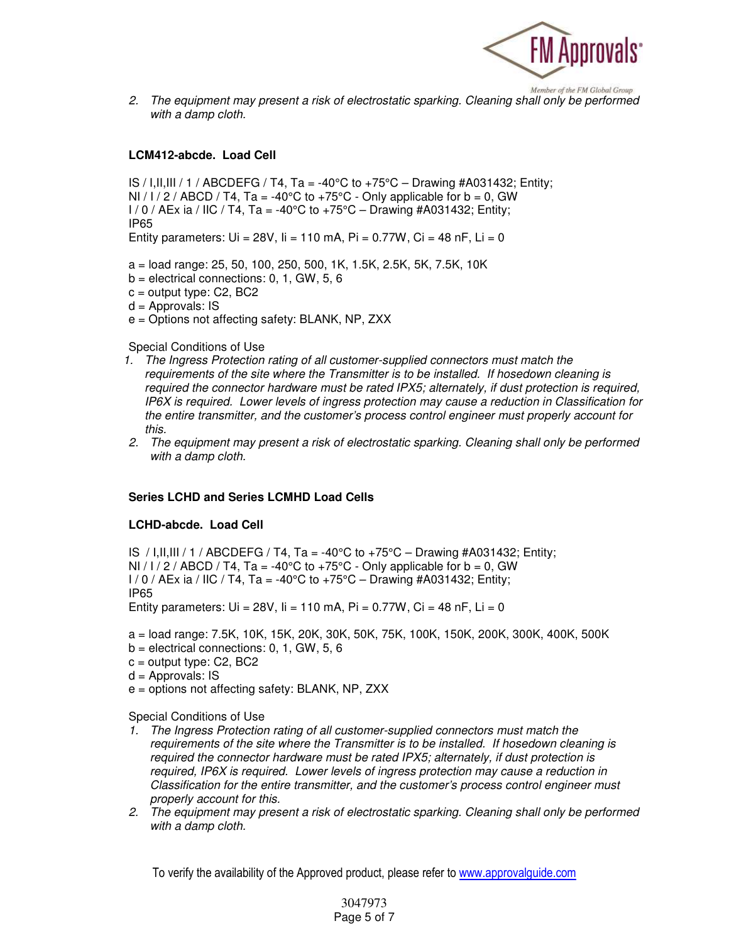

*2. The equipment may present a risk of electrostatic sparking. Cleaning shall only be performed with a damp cloth.* 

# **LCM412-abcde. Load Cell**

IS / I, II, III / 1 / ABCDEFG / T4, Ta = -40°C to +75°C – Drawing #A031432; Entity; NI / I / 2 / ABCD / T4, Ta = -40°C to +75°C - Only applicable for  $b = 0$ , GW  $1/0$  / AEx ia / IIC / T4, Ta = -40°C to +75°C – Drawing #A031432; Entity; IP65

Entity parameters:  $Ui = 28V$ ,  $I = 110$  mA,  $Pi = 0.77W$ ,  $Ci = 48$  nF,  $Li = 0$ 

a = load range: 25, 50, 100, 250, 500, 1K, 1.5K, 2.5K, 5K, 7.5K, 10K

- $b =$  electrical connections: 0, 1, GW, 5, 6
- $c =$  output type:  $C2$ ,  $BC2$
- $d =$  Approvals: IS
- e = Options not affecting safety: BLANK, NP, ZXX

#### Special Conditions of Use

- *1. The Ingress Protection rating of all customer-supplied connectors must match the requirements of the site where the Transmitter is to be installed. If hosedown cleaning is required the connector hardware must be rated IPX5; alternately, if dust protection is required, IP6X is required. Lower levels of ingress protection may cause a reduction in Classification for the entire transmitter, and the customer's process control engineer must properly account for this.*
- *2. The equipment may present a risk of electrostatic sparking. Cleaning shall only be performed with a damp cloth.*

# **Series LCHD and Series LCMHD Load Cells**

#### **LCHD-abcde. Load Cell**

IS / I,II,III / 1 / ABCDEFG / T4, Ta = -40 $\degree$ C to +75 $\degree$ C – Drawing #A031432; Entity; NI / I / 2 / ABCD / T4, Ta = -40°C to +75°C - Only applicable for b = 0, GW  $1/0$  / AEx ia / IIC / T4, Ta = -40°C to +75°C – Drawing #A031432; Entity; IP65 Entity parameters:  $Ui = 28V$ ,  $ii = 110$  mA,  $Pi = 0.77W$ ,  $Ci = 48$  nF,  $Li = 0$ 

a = load range: 7.5K, 10K, 15K, 20K, 30K, 50K, 75K, 100K, 150K, 200K, 300K, 400K, 500K

- $b =$  electrical connections: 0, 1, GW, 5, 6
- c = output type: C2, BC2
- $d =$  Approvals: IS
- e = options not affecting safety: BLANK, NP, ZXX

Special Conditions of Use

- *1. The Ingress Protection rating of all customer-supplied connectors must match the requirements of the site where the Transmitter is to be installed. If hosedown cleaning is required the connector hardware must be rated IPX5; alternately, if dust protection is required, IP6X is required. Lower levels of ingress protection may cause a reduction in Classification for the entire transmitter, and the customer's process control engineer must properly account for this.*
- *2. The equipment may present a risk of electrostatic sparking. Cleaning shall only be performed with a damp cloth.*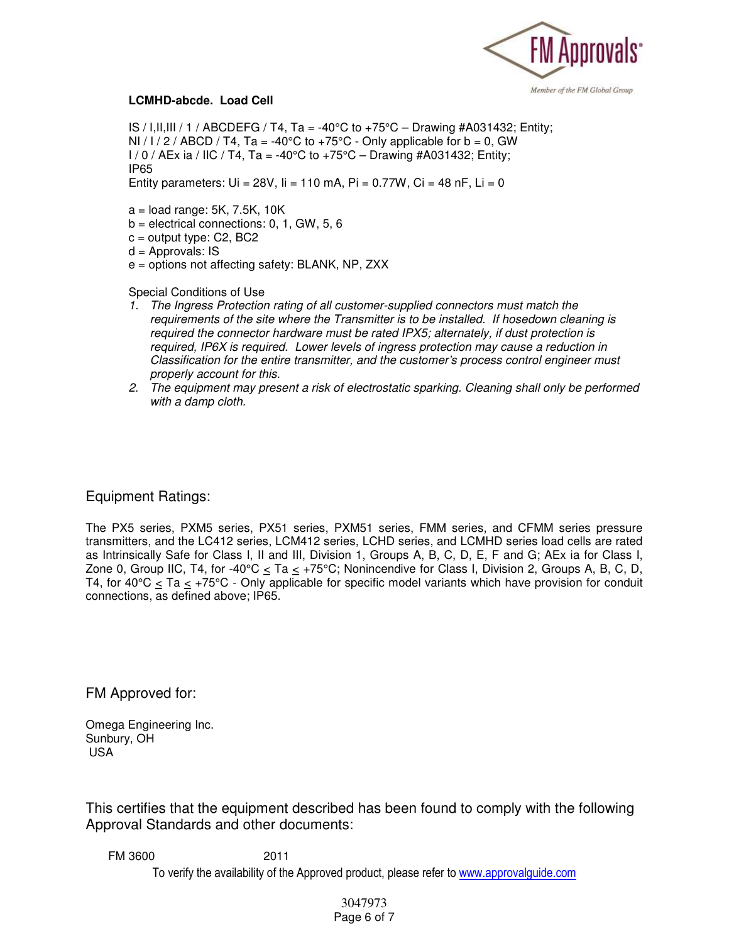

#### **LCMHD-abcde. Load Cell**

IS / I, II, III / 1 / ABCDEFG / T4, Ta = -40°C to +75°C – Drawing #A031432; Entity; NI / I / 2 / ABCD / T4, Ta = -40<sup>o</sup>C to +75<sup>o</sup>C - Only applicable for b = 0, GW  $1/0$  / AEx ia / IIC / T4, Ta = -40°C to +75°C – Drawing #A031432; Entity; IP65

Entity parameters:  $Ui = 28V$ ,  $I = 110$  mA,  $Pi = 0.77W$ ,  $Ci = 48$  nF,  $Li = 0$ 

- $a =$ load range: 5K, 7.5K, 10K
- $b =$  electrical connections: 0, 1, GW, 5, 6
- $c =$  output type: C2, BC2

 $d =$  Approvals: IS

e = options not affecting safety: BLANK, NP, ZXX

Special Conditions of Use

- *1. The Ingress Protection rating of all customer-supplied connectors must match the requirements of the site where the Transmitter is to be installed. If hosedown cleaning is required the connector hardware must be rated IPX5; alternately, if dust protection is required, IP6X is required. Lower levels of ingress protection may cause a reduction in Classification for the entire transmitter, and the customer's process control engineer must properly account for this.*
- *2. The equipment may present a risk of electrostatic sparking. Cleaning shall only be performed with a damp cloth.*

# Equipment Ratings:

The PX5 series, PXM5 series, PX51 series, PXM51 series, FMM series, and CFMM series pressure transmitters, and the LC412 series, LCM412 series, LCHD series, and LCMHD series load cells are rated as Intrinsically Safe for Class I, II and III, Division 1, Groups A, B, C, D, E, F and G; AEx ia for Class I, Zone 0, Group IIC, T4, for -40°C < Ta < +75°C; Nonincendive for Class I, Division 2, Groups A, B, C, D, T4, for 40°C  $\leq$  Ta  $\leq$  +75°C - Only applicable for specific model variants which have provision for conduit connections, as defined above; IP65.

FM Approved for:

Omega Engineering Inc. Sunbury, OH USA

This certifies that the equipment described has been found to comply with the following Approval Standards and other documents:

To verify the availability of the Approved product, please refer to www.approvalguide.com FM 3600 2011

#### 3047973 Page 6 of 7